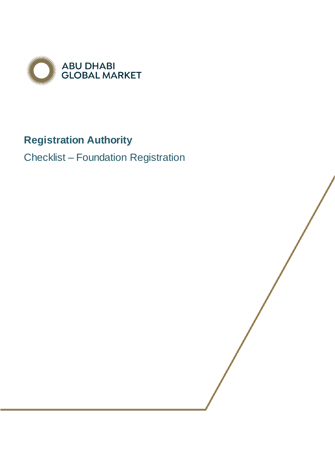

## **Registration Authority**

Checklist – Foundation Registration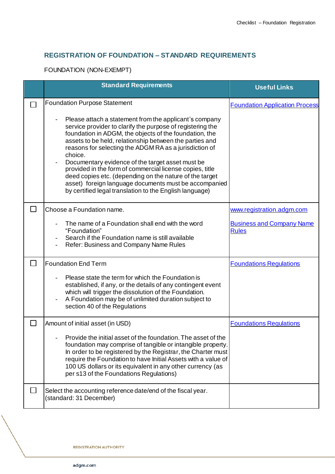## **REGISTRATION OF FOUNDATION – STANDARD REQUIREMENTS**

FOUNDATION (NON-EXEMPT)

| <b>Standard Requirements</b>                                                                                                                                                                                                                                                                                                                                                                                                                                                                                                                                                                                  | <b>Useful Links</b>                              |
|---------------------------------------------------------------------------------------------------------------------------------------------------------------------------------------------------------------------------------------------------------------------------------------------------------------------------------------------------------------------------------------------------------------------------------------------------------------------------------------------------------------------------------------------------------------------------------------------------------------|--------------------------------------------------|
| <b>Foundation Purpose Statement</b>                                                                                                                                                                                                                                                                                                                                                                                                                                                                                                                                                                           | <b>Foundation Application Process</b>            |
| Please attach a statement from the applicant's company<br>service provider to clarify the purpose of registering the<br>foundation in ADGM, the objects of the foundation, the<br>assets to be held, relationship between the parties and<br>reasons for selecting the ADGM RA as a jurisdiction of<br>choice.<br>Documentary evidence of the target asset must be<br>provided in the form of commercial license copies, title<br>deed copies etc. (depending on the nature of the target<br>asset) foreign language documents must be accompanied<br>by certified legal translation to the English language) |                                                  |
| Choose a Foundation name.                                                                                                                                                                                                                                                                                                                                                                                                                                                                                                                                                                                     | www.registration.adgm.com                        |
| The name of a Foundation shall end with the word<br>"Foundation"<br>Search if the Foundation name is still available<br>Refer: Business and Company Name Rules                                                                                                                                                                                                                                                                                                                                                                                                                                                | <b>Business and Company Name</b><br><b>Rules</b> |
| <b>Foundation End Term</b>                                                                                                                                                                                                                                                                                                                                                                                                                                                                                                                                                                                    | <b>Foundations Regulations</b>                   |
| Please state the term for which the Foundation is<br>established, if any, or the details of any contingent event<br>which will trigger the dissolution of the Foundation.<br>A Foundation may be of unlimited duration subject to<br>section 40 of the Regulations                                                                                                                                                                                                                                                                                                                                            |                                                  |
| Amount of initial asset (in USD)                                                                                                                                                                                                                                                                                                                                                                                                                                                                                                                                                                              | <b>Foundations Regulations</b>                   |
| Provide the initial asset of the foundation. The asset of the<br>foundation may comprise of tangible or intangible property.<br>In order to be registered by the Registrar, the Charter must<br>require the Foundation to have Initial Assets with a value of<br>100 US dollars or its equivalent in any other currency (as<br>per s13 of the Foundations Regulations)                                                                                                                                                                                                                                        |                                                  |
| Select the accounting reference date/end of the fiscal year.<br>(standard: 31 December)                                                                                                                                                                                                                                                                                                                                                                                                                                                                                                                       |                                                  |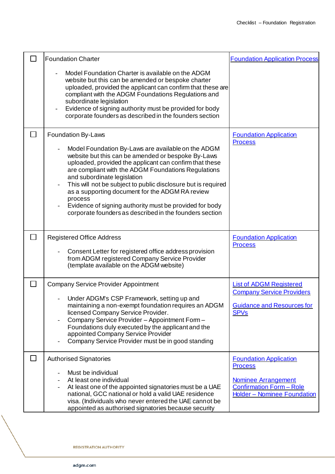|        | <b>Foundation Charter</b>                                                                                                                                                                                                                                                                                                                                                                                                                                                                                                            | <b>Foundation Application Process</b>                                                                                                                  |
|--------|--------------------------------------------------------------------------------------------------------------------------------------------------------------------------------------------------------------------------------------------------------------------------------------------------------------------------------------------------------------------------------------------------------------------------------------------------------------------------------------------------------------------------------------|--------------------------------------------------------------------------------------------------------------------------------------------------------|
|        | Model Foundation Charter is available on the ADGM<br>website but this can be amended or bespoke charter<br>uploaded, provided the applicant can confirm that these are<br>compliant with the ADGM Foundations Regulations and<br>subordinate legislation<br>Evidence of signing authority must be provided for body<br>$\overline{\phantom{a}}$<br>corporate founders as described in the founders section                                                                                                                           |                                                                                                                                                        |
|        | Foundation By-Laws<br>Model Foundation By-Laws are available on the ADGM<br>website but this can be amended or bespoke By-Laws<br>uploaded, provided the applicant can confirm that these<br>are compliant with the ADGM Foundations Regulations<br>and subordinate legislation<br>This will not be subject to public disclosure but is required<br>as a supporting document for the ADGM RA review<br>process<br>Evidence of signing authority must be provided for body<br>corporate founders as described in the founders section | <b>Foundation Application</b><br><b>Process</b>                                                                                                        |
| $\Box$ | <b>Registered Office Address</b><br>Consent Letter for registered office address provision<br>from ADGM registered Company Service Provider<br>(template available on the ADGM website)                                                                                                                                                                                                                                                                                                                                              | <b>Foundation Application</b><br><b>Process</b>                                                                                                        |
| $\Box$ | <b>Company Service Provider Appointment</b><br>Under ADGM's CSP Framework, setting up and<br>maintaining a non-exempt foundation requires an ADGM<br>licensed Company Service Provider.<br>Company Service Provider - Appointment Form -<br>Foundations duly executed by the applicant and the<br>appointed Company Service Provider<br>Company Service Provider must be in good standing                                                                                                                                            | <b>List of ADGM Registered</b><br><b>Company Service Providers</b><br><b>Guidance and Resources for</b><br><b>SPV<sub>s</sub></b>                      |
| ⊔      | <b>Authorised Signatories</b><br>Must be individual<br>At least one individual<br>At least one of the appointed signatories must be a UAE<br>national, GCC national or hold a valid UAE residence<br>visa. (Individuals who never entered the UAE cannot be<br>appointed as authorised signatories because security                                                                                                                                                                                                                  | <b>Foundation Application</b><br><b>Process</b><br><b>Nominee Arrangement</b><br><b>Confirmation Form - Role</b><br><b>Holder - Nominee Foundation</b> |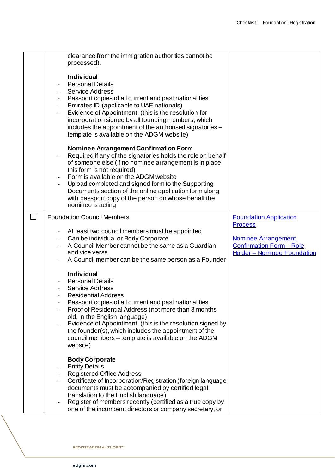|  | clearance from the immigration authorities cannot be<br>processed).<br><b>Individual</b><br><b>Personal Details</b><br><b>Service Address</b><br>Passport copies of all current and past nationalities<br>$\overline{\phantom{a}}$<br>Emirates ID (applicable to UAE nationals)<br>$\blacksquare$<br>Evidence of Appointment (this is the resolution for<br>incorporation signed by all founding members, which<br>includes the appointment of the authorised signatories -<br>template is available on the ADGM website)<br><b>Nominee Arrangement Confirmation Form</b> |                                                                                                                                                        |
|--|---------------------------------------------------------------------------------------------------------------------------------------------------------------------------------------------------------------------------------------------------------------------------------------------------------------------------------------------------------------------------------------------------------------------------------------------------------------------------------------------------------------------------------------------------------------------------|--------------------------------------------------------------------------------------------------------------------------------------------------------|
|  | Required if any of the signatories holds the role on behalf<br>of someone else (if no nominee arrangement is in place,<br>this form is not required)<br>Form is available on the ADGM website<br>$\overline{\phantom{a}}$<br>Upload completed and signed form to the Supporting<br>Documents section of the online application form along<br>with passport copy of the person on whose behalf the<br>nominee is acting                                                                                                                                                    |                                                                                                                                                        |
|  | <b>Foundation Council Members</b><br>At least two council members must be appointed<br>$\overline{\phantom{a}}$<br>Can be individual or Body Corporate<br>A Council Member cannot be the same as a Guardian<br>and vice versa<br>A Council member can be the same person as a Founder                                                                                                                                                                                                                                                                                     | <b>Foundation Application</b><br><b>Process</b><br><b>Nominee Arrangement</b><br><b>Confirmation Form - Role</b><br><b>Holder - Nominee Foundation</b> |
|  | <b>Individual</b><br><b>Personal Details</b><br>$\overline{\phantom{a}}$<br><b>Service Address</b><br><b>Residential Address</b><br>Passport copies of all current and past nationalities<br>Proof of Residential Address (not more than 3 months<br>old, in the English language)<br>Evidence of Appointment (this is the resolution signed by<br>the founder(s), which includes the appointment of the<br>council members - template is available on the ADGM<br>website)                                                                                               |                                                                                                                                                        |
|  | <b>Body Corporate</b><br><b>Entity Details</b><br><b>Registered Office Address</b><br>Certificate of Incorporation/Registration (foreign language<br>documents must be accompanied by certified legal<br>translation to the English language)<br>Register of members recently (certified as a true copy by<br>one of the incumbent directors or company secretary, or                                                                                                                                                                                                     |                                                                                                                                                        |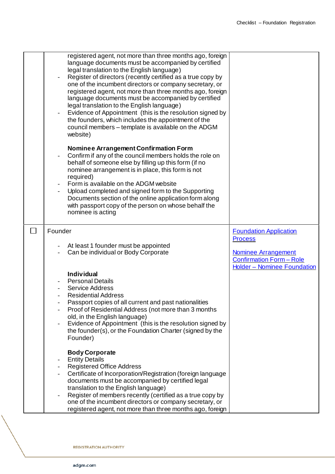|        | registered agent, not more than three months ago, foreign<br>language documents must be accompanied by certified<br>legal translation to the English language)<br>Register of directors (recently certified as a true copy by<br>one of the incumbent directors or company secretary, or<br>registered agent, not more than three months ago, foreign<br>language documents must be accompanied by certified<br>legal translation to the English language)<br>Evidence of Appointment (this is the resolution signed by<br>the founders, which includes the appointment of the<br>council members - template is available on the ADGM<br>website) |                                                                                                                                                        |
|--------|---------------------------------------------------------------------------------------------------------------------------------------------------------------------------------------------------------------------------------------------------------------------------------------------------------------------------------------------------------------------------------------------------------------------------------------------------------------------------------------------------------------------------------------------------------------------------------------------------------------------------------------------------|--------------------------------------------------------------------------------------------------------------------------------------------------------|
|        | Nominee Arrangement Confirmation Form<br>Confirm if any of the council members holds the role on<br>behalf of someone else by filling up this form (if no<br>nominee arrangement is in place, this form is not<br>required)<br>Form is available on the ADGM website<br>Upload completed and signed form to the Supporting<br>Documents section of the online application form along<br>with passport copy of the person on whose behalf the<br>nominee is acting                                                                                                                                                                                 |                                                                                                                                                        |
| $\Box$ | Founder<br>At least 1 founder must be appointed<br>Can be individual or Body Corporate<br><b>Individual</b><br><b>Personal Details</b><br><b>Service Address</b><br><b>Residential Address</b><br>Passport copies of all current and past nationalities<br>Proof of Residential Address (not more than 3 months<br>old, in the English language)<br>Evidence of Appointment (this is the resolution signed by<br>the founder(s), or the Foundation Charter (signed by the<br>Founder)                                                                                                                                                             | <b>Foundation Application</b><br><b>Process</b><br><b>Nominee Arrangement</b><br><b>Confirmation Form - Role</b><br><b>Holder - Nominee Foundation</b> |
|        | <b>Body Corporate</b><br><b>Entity Details</b><br><b>Registered Office Address</b><br>Certificate of Incorporation/Registration (foreign language<br>documents must be accompanied by certified legal<br>translation to the English language)<br>Register of members recently (certified as a true copy by<br>one of the incumbent directors or company secretary, or<br>registered agent, not more than three months ago, foreign                                                                                                                                                                                                                |                                                                                                                                                        |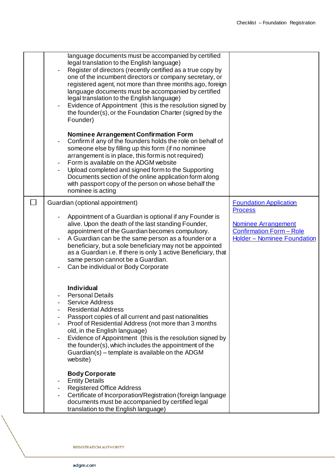|        | language documents must be accompanied by certified<br>legal translation to the English language)<br>Register of directors (recently certified as a true copy by<br>one of the incumbent directors or company secretary, or<br>registered agent, not more than three months ago, foreign<br>language documents must be accompanied by certified<br>legal translation to the English language)<br>Evidence of Appointment (this is the resolution signed by<br>the founder(s), or the Foundation Charter (signed by the<br>Founder) |                                                                                                                                                 |
|--------|------------------------------------------------------------------------------------------------------------------------------------------------------------------------------------------------------------------------------------------------------------------------------------------------------------------------------------------------------------------------------------------------------------------------------------------------------------------------------------------------------------------------------------|-------------------------------------------------------------------------------------------------------------------------------------------------|
|        | Nominee Arrangement Confirmation Form<br>Confirm if any of the founders holds the role on behalf of<br>someone else by filling up this form (if no nominee<br>arrangement is in place, this form is not required)<br>Form is available on the ADGM website<br>Upload completed and signed form to the Supporting<br>Documents section of the online application form along<br>with passport copy of the person on whose behalf the<br>nominee is acting                                                                            |                                                                                                                                                 |
| $\Box$ | Guardian (optional appointment)<br>Appointment of a Guardian is optional if any Founder is<br>alive. Upon the death of the last standing Founder,<br>appointment of the Guardian becomes compulsory.<br>A Guardian can be the same person as a founder or a<br>beneficiary, but a sole beneficiary may not be appointed<br>as a Guardian i.e. If there is only 1 active Beneficiary, that<br>same person cannot be a Guardian.<br>Can be individual or Body Corporate                                                              | <b>Foundation Application</b><br><b>Process</b><br><b>Nominee Arrangement</b><br><b>Confirmation Form - Role</b><br>Holder - Nominee Foundation |
|        | <b>Individual</b><br><b>Personal Details</b><br><b>Service Address</b><br><b>Residential Address</b><br>Passport copies of all current and past nationalities<br>Proof of Residential Address (not more than 3 months<br>old, in the English language)<br>Evidence of Appointment (this is the resolution signed by<br>the founder(s), which includes the appointment of the<br>Guardian(s) – template is available on the ADGM<br>website)                                                                                        |                                                                                                                                                 |
|        | <b>Body Corporate</b><br><b>Entity Details</b><br><b>Registered Office Address</b><br>Certificate of Incorporation/Registration (foreign language<br>documents must be accompanied by certified legal<br>translation to the English language)                                                                                                                                                                                                                                                                                      |                                                                                                                                                 |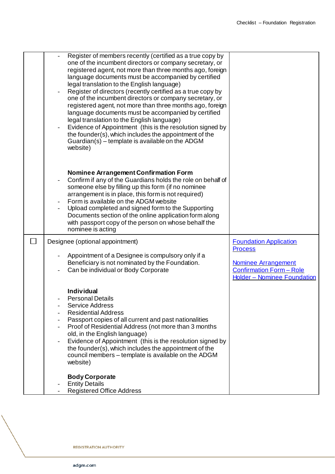|  | Register of members recently (certified as a true copy by<br>one of the incumbent directors or company secretary, or<br>registered agent, not more than three months ago, foreign<br>language documents must be accompanied by certified<br>legal translation to the English language)<br>Register of directors (recently certified as a true copy by<br>one of the incumbent directors or company secretary, or<br>registered agent, not more than three months ago, foreign<br>language documents must be accompanied by certified<br>legal translation to the English language)<br>Evidence of Appointment (this is the resolution signed by<br>the founder(s), which includes the appointment of the<br>Guardian(s) – template is available on the ADGM<br>website) |                                                                                                                       |
|--|-------------------------------------------------------------------------------------------------------------------------------------------------------------------------------------------------------------------------------------------------------------------------------------------------------------------------------------------------------------------------------------------------------------------------------------------------------------------------------------------------------------------------------------------------------------------------------------------------------------------------------------------------------------------------------------------------------------------------------------------------------------------------|-----------------------------------------------------------------------------------------------------------------------|
|  | <b>Nominee Arrangement Confirmation Form</b><br>Confirm if any of the Guardians holds the role on behalf of<br>someone else by filling up this form (if no nominee<br>arrangement is in place, this form is not required)<br>Form is available on the ADGM website<br>Upload completed and signed form to the Supporting<br>Documents section of the online application form along<br>with passport copy of the person on whose behalf the<br>nominee is acting                                                                                                                                                                                                                                                                                                         |                                                                                                                       |
|  | Designee (optional appointment)                                                                                                                                                                                                                                                                                                                                                                                                                                                                                                                                                                                                                                                                                                                                         | <b>Foundation Application</b>                                                                                         |
|  | Appointment of a Designee is compulsory only if a<br>Beneficiary is not nominated by the Foundation.<br>Can be individual or Body Corporate                                                                                                                                                                                                                                                                                                                                                                                                                                                                                                                                                                                                                             | <b>Process</b><br><b>Nominee Arrangement</b><br><b>Confirmation Form - Role</b><br><b>Holder - Nominee Foundation</b> |
|  | <b>Individual</b><br><b>Personal Details</b><br><b>Service Address</b><br><b>Residential Address</b><br>Passport copies of all current and past nationalities<br>Proof of Residential Address (not more than 3 months<br>old, in the English language)<br>Evidence of Appointment (this is the resolution signed by<br>the founder(s), which includes the appointment of the<br>council members – template is available on the ADGM<br>website)                                                                                                                                                                                                                                                                                                                         |                                                                                                                       |
|  | <b>Body Corporate</b><br><b>Entity Details</b><br><b>Registered Office Address</b>                                                                                                                                                                                                                                                                                                                                                                                                                                                                                                                                                                                                                                                                                      |                                                                                                                       |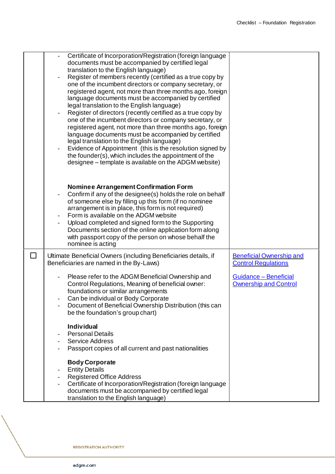| Certificate of Incorporation/Registration (foreign language<br>documents must be accompanied by certified legal<br>translation to the English language)<br>Register of members recently (certified as a true copy by<br>one of the incumbent directors or company secretary, or<br>registered agent, not more than three months ago, foreign<br>language documents must be accompanied by certified<br>legal translation to the English language)<br>Register of directors (recently certified as a true copy by<br>one of the incumbent directors or company secretary, or<br>registered agent, not more than three months ago, foreign<br>language documents must be accompanied by certified<br>legal translation to the English language)<br>Evidence of Appointment (this is the resolution signed by<br>the founder(s), which includes the appointment of the<br>designee – template is available on the ADGM website) |                                                               |
|------------------------------------------------------------------------------------------------------------------------------------------------------------------------------------------------------------------------------------------------------------------------------------------------------------------------------------------------------------------------------------------------------------------------------------------------------------------------------------------------------------------------------------------------------------------------------------------------------------------------------------------------------------------------------------------------------------------------------------------------------------------------------------------------------------------------------------------------------------------------------------------------------------------------------|---------------------------------------------------------------|
| <b>Nominee Arrangement Confirmation Form</b><br>Confirm if any of the designee(s) holds the role on behalf<br>of someone else by filling up this form (if no nominee<br>arrangement is in place, this form is not required)<br>Form is available on the ADGM website<br>Upload completed and signed form to the Supporting<br>Documents section of the online application form along<br>with passport copy of the person on whose behalf the<br>nominee is acting                                                                                                                                                                                                                                                                                                                                                                                                                                                            |                                                               |
| Ultimate Beneficial Owners (including Beneficiaries details, if<br>Beneficiaries are named in the By-Laws)                                                                                                                                                                                                                                                                                                                                                                                                                                                                                                                                                                                                                                                                                                                                                                                                                   | <b>Beneficial Ownership and</b><br><b>Control Regulations</b> |
| Please refer to the ADGM Beneficial Ownership and<br>Control Regulations, Meaning of beneficial owner:<br>foundations or similar arrangements<br>Can be individual or Body Corporate<br>Document of Beneficial Ownership Distribution (this can<br>be the foundation's group chart)                                                                                                                                                                                                                                                                                                                                                                                                                                                                                                                                                                                                                                          | Guidance - Beneficial<br><b>Ownership and Control</b>         |
| <b>Individual</b><br><b>Personal Details</b><br><b>Service Address</b><br>Passport copies of all current and past nationalities                                                                                                                                                                                                                                                                                                                                                                                                                                                                                                                                                                                                                                                                                                                                                                                              |                                                               |
| <b>Body Corporate</b><br><b>Entity Details</b><br><b>Registered Office Address</b><br>Certificate of Incorporation/Registration (foreign language<br>documents must be accompanied by certified legal<br>translation to the English language)                                                                                                                                                                                                                                                                                                                                                                                                                                                                                                                                                                                                                                                                                |                                                               |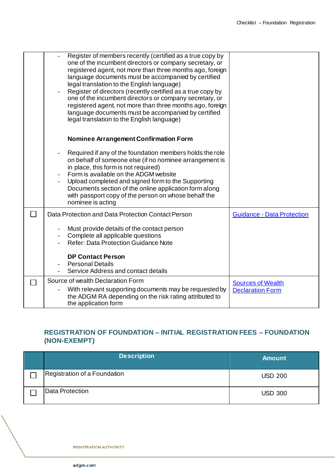|        | Register of members recently (certified as a true copy by<br>one of the incumbent directors or company secretary, or<br>registered agent, not more than three months ago, foreign<br>language documents must be accompanied by certified<br>legal translation to the English language)<br>Register of directors (recently certified as a true copy by<br>one of the incumbent directors or company secretary, or<br>registered agent, not more than three months ago, foreign<br>language documents must be accompanied by certified<br>legal translation to the English language) |                                                     |
|--------|------------------------------------------------------------------------------------------------------------------------------------------------------------------------------------------------------------------------------------------------------------------------------------------------------------------------------------------------------------------------------------------------------------------------------------------------------------------------------------------------------------------------------------------------------------------------------------|-----------------------------------------------------|
|        | <b>Nominee Arrangement Confirmation Form</b>                                                                                                                                                                                                                                                                                                                                                                                                                                                                                                                                       |                                                     |
|        | Required if any of the foundation members holds the role<br>on behalf of someone else (if no nominee arrangement is<br>in place, this form is not required)<br>Form is available on the ADGM website<br>Upload completed and signed form to the Supporting<br>Documents section of the online application form along<br>with passport copy of the person on whose behalf the<br>nominee is acting                                                                                                                                                                                  |                                                     |
| $\Box$ | Data Protection and Data Protection Contact Person                                                                                                                                                                                                                                                                                                                                                                                                                                                                                                                                 | <b>Guidance - Data Protection</b>                   |
|        | Must provide details of the contact person<br>Complete all applicable questions<br><b>Refer: Data Protection Guidance Note</b>                                                                                                                                                                                                                                                                                                                                                                                                                                                     |                                                     |
|        | <b>DP Contact Person</b><br><b>Personal Details</b><br>Service Address and contact details                                                                                                                                                                                                                                                                                                                                                                                                                                                                                         |                                                     |
| П      | Source of wealth Declaration Form<br>With relevant supporting documents may be requested by<br>the ADGM RA depending on the risk rating attributed to<br>the application form                                                                                                                                                                                                                                                                                                                                                                                                      | <b>Sources of Wealth</b><br><b>Declaration Form</b> |

## **REGISTRATION OF FOUNDATION – INITIAL REGISTRATION FEES – FOUNDATION (NON-EXEMPT)**

| <b>Description</b>           | <b>Amount</b>  |
|------------------------------|----------------|
| Registration of a Foundation | <b>USD 200</b> |
| Data Protection              | <b>USD 300</b> |

**REGISTRATION AUTHORITY**